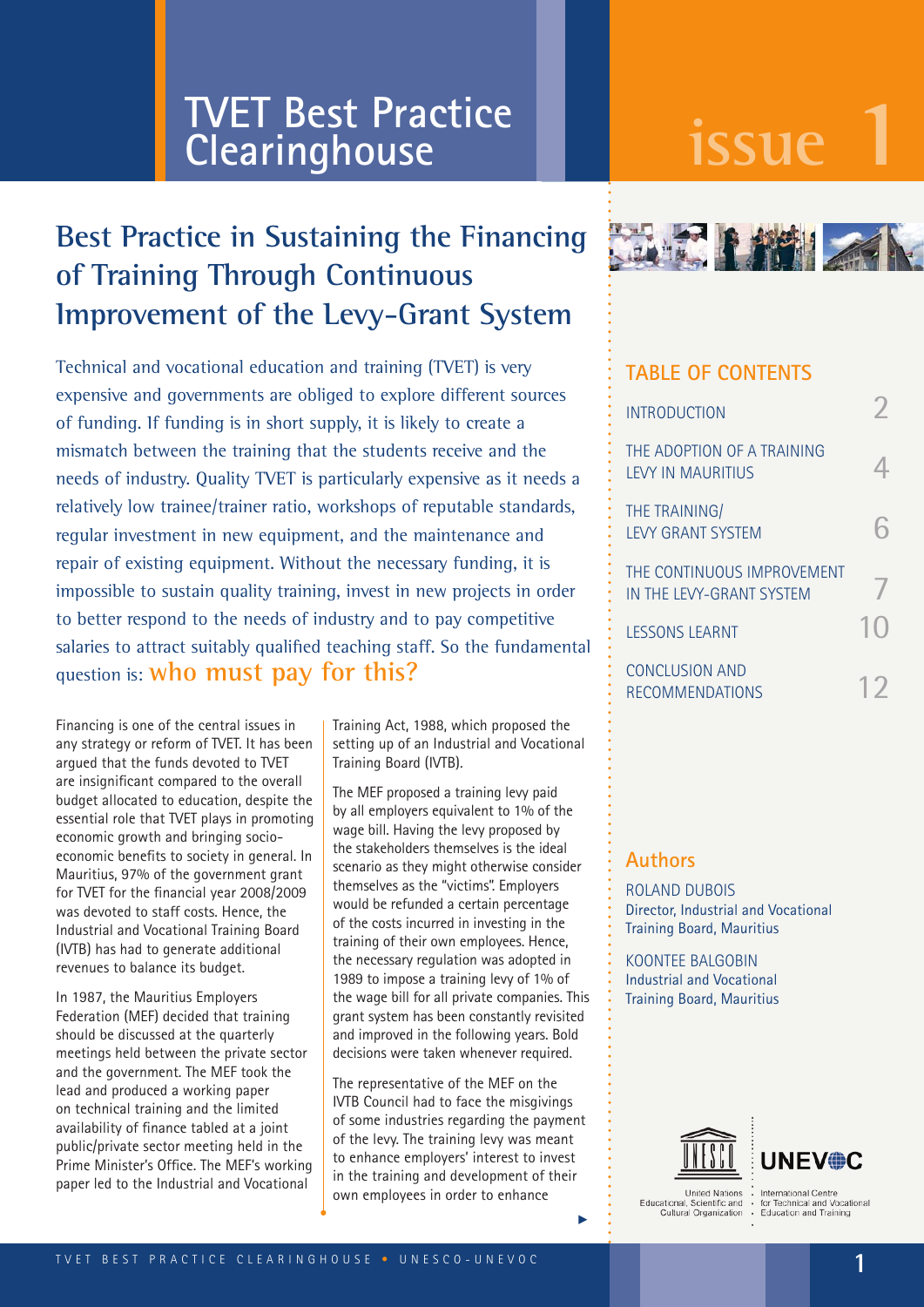# **issue 1 TVET Best Practice Clearinghouse**

# **Best Practice in Sustaining the Financing of Training Through Continuous Improvement of the Levy-Grant System**

Technical and vocational education and training (TVET) is very expensive and governments are obliged to explore different sources of funding. If funding is in short supply, it is likely to create a mismatch between the training that the students receive and the needs of industry. Quality TVET is particularly expensive as it needs a relatively low trainee/trainer ratio, workshops of reputable standards, regular investment in new equipment, and the maintenance and repair of existing equipment. Without the necessary funding, it is impossible to sustain quality training, invest in new projects in order to better respond to the needs of industry and to pay competitive salaries to attract suitably qualified teaching staff. So the fundamental question is: **who must pay for this?**

Financing is one of the central issues in any strategy or reform of TVET. It has been argued that the funds devoted to TVET are insignificant compared to the overall budget allocated to education, despite the essential role that TVET plays in promoting economic growth and bringing socioeconomic benefits to society in general. In Mauritius, 97% of the government grant for TVET for the financial year 2008/2009 was devoted to staff costs. Hence, the Industrial and Vocational Training Board (IVTB) has had to generate additional revenues to balance its budget.

In 1987, the Mauritius Employers Federation (MEF) decided that training should be discussed at the quarterly meetings held between the private sector and the government. The MEF took the lead and produced a working paper on technical training and the limited availability of finance tabled at a joint public/private sector meeting held in the Prime Minister's Office. The MEF's working paper led to the Industrial and Vocational

Training Act, 1988, which proposed the setting up of an Industrial and Vocational Training Board (IVTB).

The MEF proposed a training levy paid by all employers equivalent to 1% of the wage bill. Having the levy proposed by the stakeholders themselves is the ideal scenario as they might otherwise consider themselves as the "victims". Employers would be refunded a certain percentage of the costs incurred in investing in the training of their own employees. Hence, the necessary regulation was adopted in 1989 to impose a training levy of 1% of the wage bill for all private companies. This grant system has been constantly revisited and improved in the following years. Bold decisions were taken whenever required.

The representative of the MEF on the IVTB Council had to face the misgivings of some industries regarding the payment of the levy. The training levy was meant to enhance employers' interest to invest in the training and development of their own employees in order to enhance



#### **TABLE OF CONTENTS**

| <b>INTRODUCTION</b>                                     |  |
|---------------------------------------------------------|--|
| THE ADOPTION OF A TRAINING<br><b>I FVY IN MAURITIUS</b> |  |
| THE TRAINING/<br><b>LEVY GRANT SYSTEM</b>               |  |
| THE CONTINUOUS IMPROVEMENT<br>IN THE LEVY-GRANT SYSTEM  |  |
| <b>LESSONS LEARNT</b>                                   |  |
| <b>CONCLUSION AND</b><br><b>RECOMMENDATIONS</b>         |  |

#### **Authors**

ROLAND DUBOIS Director, Industrial and Vocational Training Board, Mauritius

KOONTEE BALGOBIN Industrial and Vocational Training Board, Mauritius



**UNEV®C** 

**Hoited Nations** United Nations<br>tational, Scientific and<br>Cultural Organization Educational

i

International Centre<br>for Technical and Vocational<br>Education and Training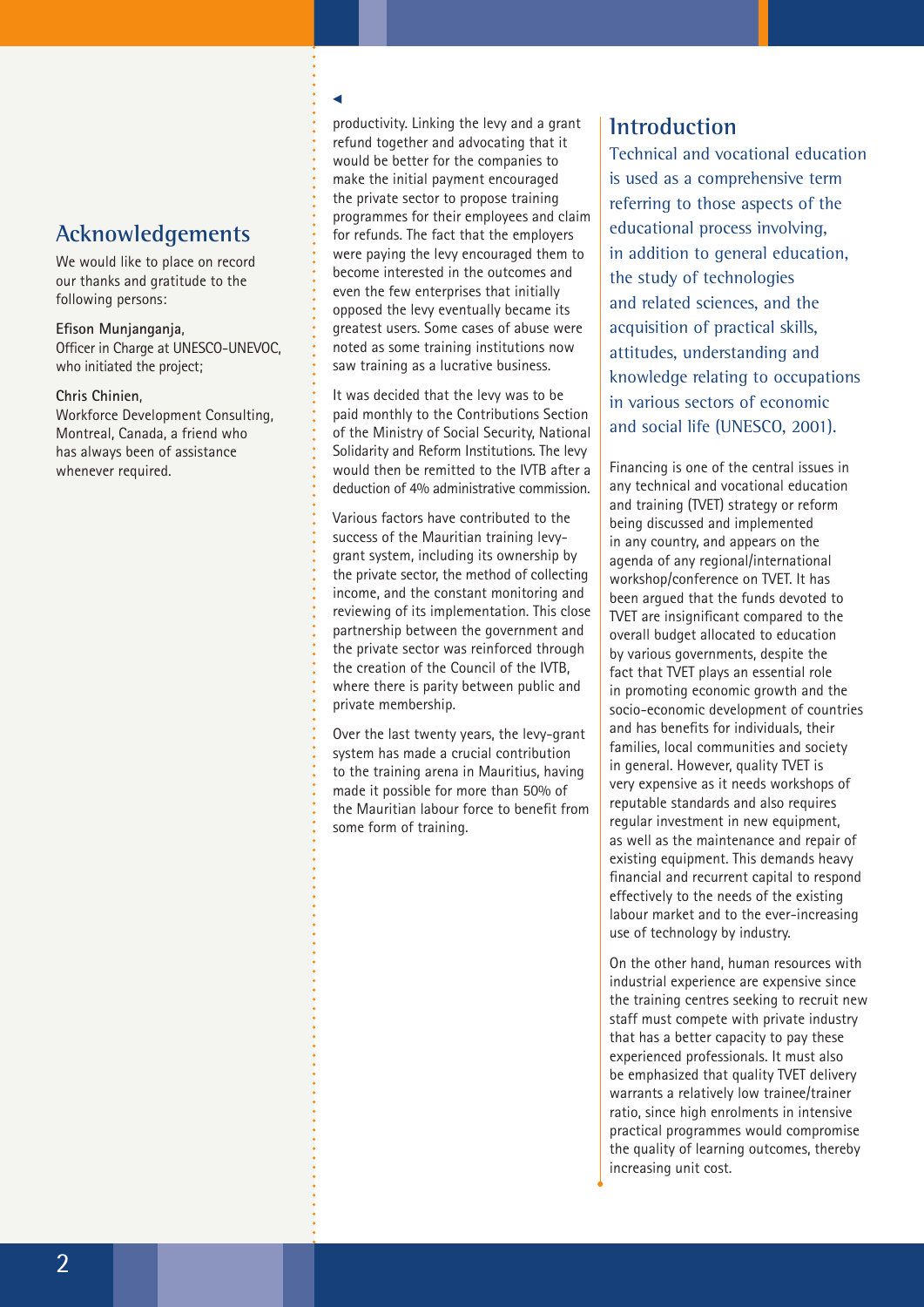## **Acknowledgements**

We would like to place on record our thanks and gratitude to the following persons:

**Efison Munjanganja**, Officer in Charge at UNESCO-UNEVOC, who initiated the project;

#### **Chris Chinien**,

Workforce Development Consulting, Montreal, Canada, a friend who has always been of assistance whenever required.

#### u

productivity. Linking the levy and a grant refund together and advocating that it would be better for the companies to make the initial payment encouraged the private sector to propose training programmes for their employees and claim for refunds. The fact that the employers were paying the levy encouraged them to become interested in the outcomes and even the few enterprises that initially opposed the levy eventually became its greatest users. Some cases of abuse were noted as some training institutions now saw training as a lucrative business.

It was decided that the levy was to be paid monthly to the Contributions Section of the Ministry of Social Security, National Solidarity and Reform Institutions. The levy would then be remitted to the IVTB after a deduction of 4% administrative commission.

Various factors have contributed to the success of the Mauritian training levygrant system, including its ownership by the private sector, the method of collecting income, and the constant monitoring and reviewing of its implementation. This close partnership between the government and the private sector was reinforced through the creation of the Council of the IVTB, where there is parity between public and private membership.

Over the last twenty years, the levy-grant system has made a crucial contribution to the training arena in Mauritius, having made it possible for more than 50% of the Mauritian labour force to benefit from some form of training.

#### **Introduction**

Technical and vocational education is used as a comprehensive term referring to those aspects of the educational process involving, in addition to general education, the study of technologies and related sciences, and the acquisition of practical skills, attitudes, understanding and knowledge relating to occupations in various sectors of economic and social life (UNESCO, 2001).

Financing is one of the central issues in any technical and vocational education and training (TVET) strategy or reform being discussed and implemented in any country, and appears on the agenda of any regional/international workshop/conference on TVET. It has been argued that the funds devoted to TVET are insignificant compared to the overall budget allocated to education by various governments, despite the fact that TVET plays an essential role in promoting economic growth and the socio-economic development of countries and has benefits for individuals, their families, local communities and society in general. However, quality TVET is very expensive as it needs workshops of reputable standards and also requires regular investment in new equipment, as well as the maintenance and repair of existing equipment. This demands heavy financial and recurrent capital to respond effectively to the needs of the existing labour market and to the ever-increasing use of technology by industry.

On the other hand, human resources with industrial experience are expensive since the training centres seeking to recruit new staff must compete with private industry that has a better capacity to pay these experienced professionals. It must also be emphasized that quality TVET delivery warrants a relatively low trainee/trainer ratio, since high enrolments in intensive practical programmes would compromise the quality of learning outcomes, thereby increasing unit cost.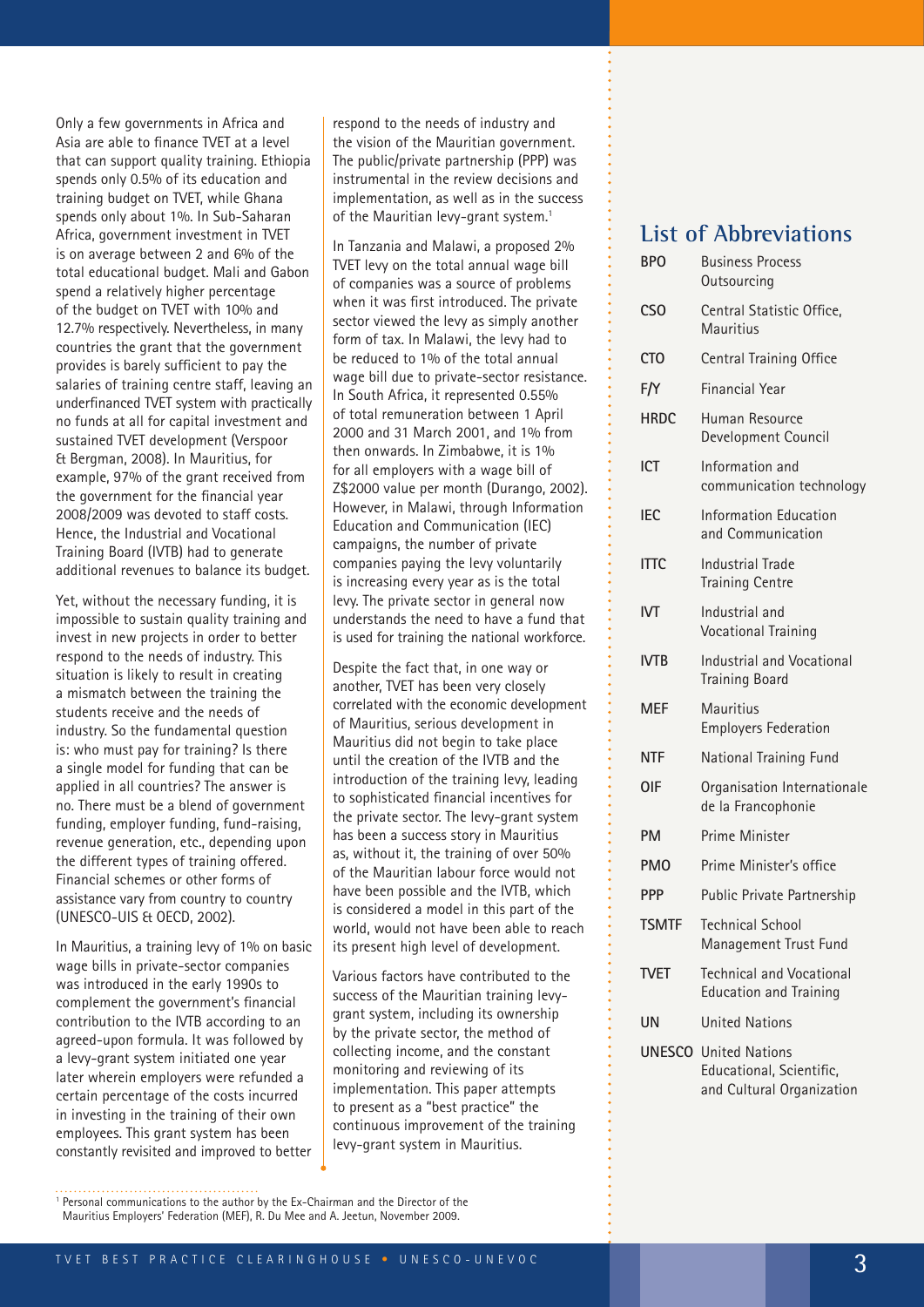Only a few governments in Africa and Asia are able to finance TVET at a level that can support quality training. Ethiopia spends only 0.5% of its education and training budget on TVET, while Ghana spends only about 1%. In Sub-Saharan Africa, government investment in TVET is on average between 2 and 6% of the total educational budget. Mali and Gabon spend a relatively higher percentage of the budget on TVET with 10% and 12.7% respectively. Nevertheless, in many countries the grant that the government provides is barely sufficient to pay the salaries of training centre staff, leaving an underfinanced TVET system with practically no funds at all for capital investment and sustained TVET development (Verspoor & Bergman, 2008). In Mauritius, for example, 97% of the grant received from the government for the financial year 2008/2009 was devoted to staff costs. Hence, the Industrial and Vocational Training Board (IVTB) had to generate additional revenues to balance its budget.

Yet, without the necessary funding, it is impossible to sustain quality training and invest in new projects in order to better respond to the needs of industry. This situation is likely to result in creating a mismatch between the training the students receive and the needs of industry. So the fundamental question is: who must pay for training? Is there a single model for funding that can be applied in all countries? The answer is no. There must be a blend of government funding, employer funding, fund-raising, revenue generation, etc., depending upon the different types of training offered. Financial schemes or other forms of assistance vary from country to country (UNESCO-UIS & OECD, 2002).

In Mauritius, a training levy of 1% on basic wage bills in private-sector companies was introduced in the early 1990s to complement the government's financial contribution to the IVTB according to an agreed-upon formula. It was followed by a levy-grant system initiated one year later wherein employers were refunded a certain percentage of the costs incurred in investing in the training of their own employees. This grant system has been constantly revisited and improved to better

respond to the needs of industry and the vision of the Mauritian government. The public/private partnership (PPP) was instrumental in the review decisions and implementation, as well as in the success of the Mauritian levy-grant system.<sup>1</sup>

In Tanzania and Malawi, a proposed 2% TVET levy on the total annual wage bill of companies was a source of problems when it was first introduced. The private sector viewed the levy as simply another form of tax. In Malawi, the levy had to be reduced to 1% of the total annual wage bill due to private-sector resistance. In South Africa, it represented 0.55% of total remuneration between 1 April 2000 and 31 March 2001, and 1% from then onwards. In Zimbabwe, it is 1% for all employers with a wage bill of Z\$2000 value per month (Durango, 2002). However, in Malawi, through Information Education and Communication (IEC) campaigns, the number of private companies paying the levy voluntarily is increasing every year as is the total levy. The private sector in general now understands the need to have a fund that is used for training the national workforce.

Despite the fact that, in one way or another, TVET has been very closely correlated with the economic development of Mauritius, serious development in Mauritius did not begin to take place until the creation of the IVTB and the introduction of the training levy, leading to sophisticated financial incentives for the private sector. The levy-grant system has been a success story in Mauritius as, without it, the training of over 50% of the Mauritian labour force would not have been possible and the IVTB, which is considered a model in this part of the world, would not have been able to reach its present high level of development.

Various factors have contributed to the success of the Mauritian training levygrant system, including its ownership by the private sector, the method of collecting income, and the constant monitoring and reviewing of its implementation. This paper attempts to present as a "best practice" the continuous improvement of the training levy-grant system in Mauritius.

### **List of Abbreviations**

| <b>BPO</b>      | <b>Business Process</b><br>Outsourcing                                                |
|-----------------|---------------------------------------------------------------------------------------|
| CS <sub>O</sub> | Central Statistic Office,<br><b>Mauritius</b>                                         |
| <b>CTO</b>      | Central Training Office                                                               |
| F/Y             | <b>Financial Year</b>                                                                 |
| <b>HRDC</b>     | Human Resource<br>Development Council                                                 |
| <b>ICT</b>      | Information and<br>communication technology                                           |
| <b>IEC</b>      | Information Education<br>and Communication                                            |
| <b>ITTC</b>     | <b>Industrial Trade</b><br><b>Training Centre</b>                                     |
| IVT             | Industrial and<br><b>Vocational Training</b>                                          |
| <b>IVTB</b>     | <b>Industrial and Vocational</b><br><b>Training Board</b>                             |
| <b>MEF</b>      | Mauritius<br><b>Employers Federation</b>                                              |
| <b>NTF</b>      | National Training Fund                                                                |
| <b>OIF</b>      | Organisation Internationale<br>de la Francophonie                                     |
| <b>PM</b>       | <b>Prime Minister</b>                                                                 |
| <b>PMO</b>      | Prime Minister's office                                                               |
| <b>PPP</b>      | Public Private Partnership                                                            |
| <b>TSMTF</b>    | <b>Technical School</b><br>Management Trust Fund                                      |
| tvet            | <b>Technical and Vocational</b><br><b>Education and Training</b>                      |
| <b>UN</b>       | <b>United Nations</b>                                                                 |
|                 | <b>UNESCO</b> United Nations<br>Educational, Scientific,<br>and Cultural Organization |

<sup>1</sup> Personal communications to the author by the Ex-Chairman and the Director of the

Mauritius Employers' Federation (MEF), R. Du Mee and A. Jeetun, November 2009.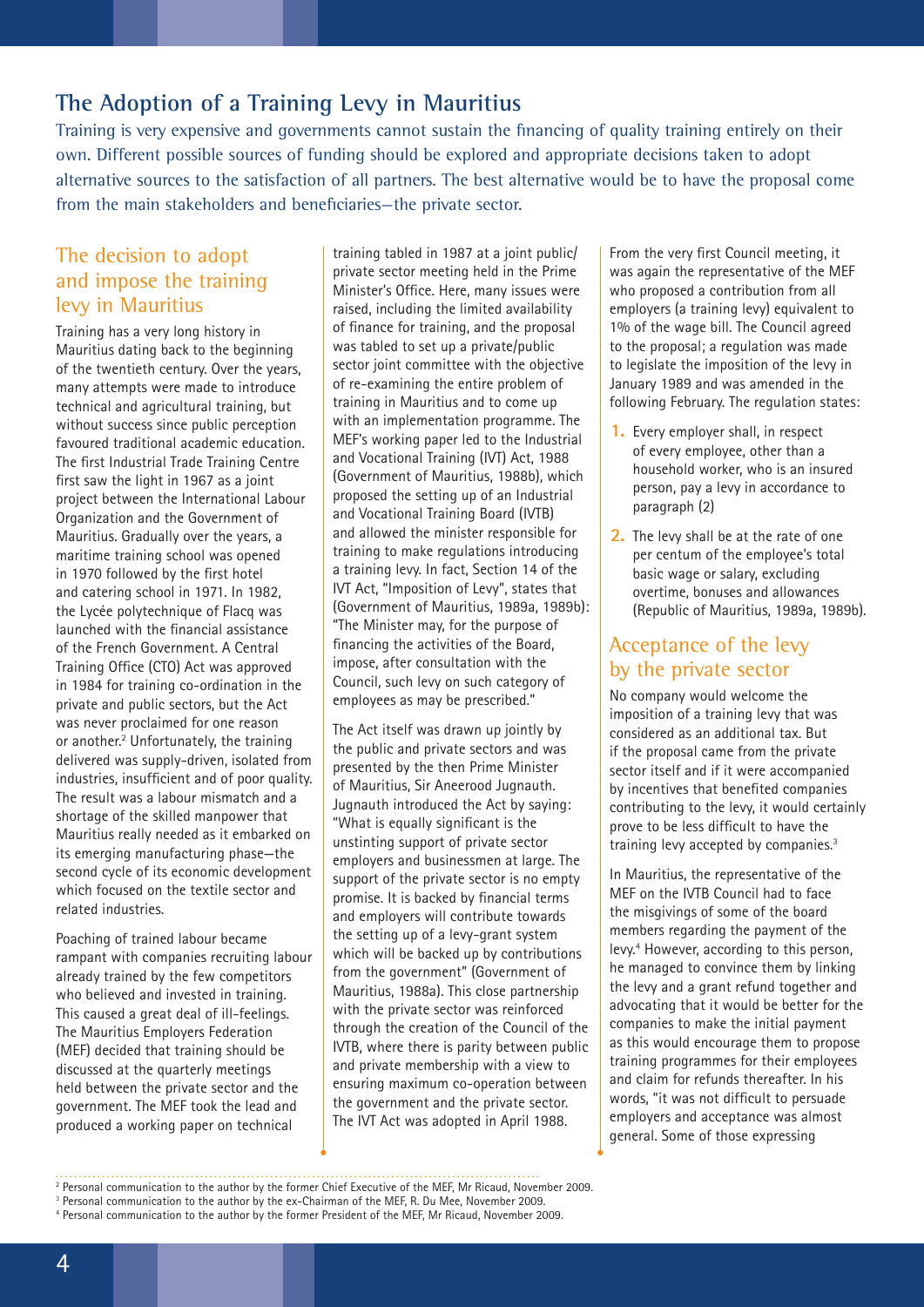### **The Adoption of a Training Levy in Mauritius**

Training is very expensive and governments cannot sustain the financing of quality training entirely on their own. Different possible sources of funding should be explored and appropriate decisions taken to adopt alternative sources to the satisfaction of all partners. The best alternative would be to have the proposal come from the main stakeholders and beneficiaries—the private sector.

#### The decision to adopt and impose the training levy in Mauritius

Training has a very long history in Mauritius dating back to the beginning of the twentieth century. Over the years, many attempts were made to introduce technical and agricultural training, but without success since public perception favoured traditional academic education. The first Industrial Trade Training Centre first saw the light in 1967 as a joint project between the International Labour Organization and the Government of Mauritius. Gradually over the years, a maritime training school was opened in 1970 followed by the first hotel and catering school in 1971. In 1982, the Lycée polytechnique of Flacq was launched with the financial assistance of the French Government. A Central Training Office (CTO) Act was approved in 1984 for training co-ordination in the private and public sectors, but the Act was never proclaimed for one reason or another.<sup>2</sup> Unfortunately, the training delivered was supply-driven, isolated from industries, insufficient and of poor quality. The result was a labour mismatch and a shortage of the skilled manpower that Mauritius really needed as it embarked on its emerging manufacturing phase—the second cycle of its economic development which focused on the textile sector and related industries.

Poaching of trained labour became rampant with companies recruiting labour already trained by the few competitors who believed and invested in training. This caused a great deal of ill-feelings. The Mauritius Employers Federation (MEF) decided that training should be discussed at the quarterly meetings held between the private sector and the government. The MEF took the lead and produced a working paper on technical

training tabled in 1987 at a joint public/ private sector meeting held in the Prime Minister's Office. Here, many issues were raised, including the limited availability of finance for training, and the proposal was tabled to set up a private/public sector joint committee with the objective of re-examining the entire problem of training in Mauritius and to come up with an implementation programme. The MEF's working paper led to the Industrial and Vocational Training (IVT) Act, 1988 (Government of Mauritius, 1988b), which proposed the setting up of an Industrial and Vocational Training Board (IVTB) and allowed the minister responsible for training to make regulations introducing a training levy. In fact, Section 14 of the IVT Act, "Imposition of Levy", states that (Government of Mauritius, 1989a, 1989b): "The Minister may, for the purpose of financing the activities of the Board, impose, after consultation with the Council, such levy on such category of employees as may be prescribed."

The Act itself was drawn up jointly by the public and private sectors and was presented by the then Prime Minister of Mauritius, Sir Aneerood Jugnauth. Jugnauth introduced the Act by saying: "What is equally significant is the unstinting support of private sector employers and businessmen at large. The support of the private sector is no empty promise. It is backed by financial terms and employers will contribute towards the setting up of a levy-grant system which will be backed up by contributions from the government" (Government of Mauritius, 1988a). This close partnership with the private sector was reinforced through the creation of the Council of the IVTB, where there is parity between public and private membership with a view to ensuring maximum co-operation between the government and the private sector. The IVT Act was adopted in April 1988.

From the very first Council meeting, it was again the representative of the MEF who proposed a contribution from all employers (a training levy) equivalent to 1% of the wage bill. The Council agreed to the proposal; a regulation was made to legislate the imposition of the levy in January 1989 and was amended in the following February. The regulation states:

- **1.** Every employer shall, in respect of every employee, other than a household worker, who is an insured person, pay a levy in accordance to paragraph (2)
- **2.** The levy shall be at the rate of one per centum of the employee's total basic wage or salary, excluding overtime, bonuses and allowances (Republic of Mauritius, 1989a, 1989b).

#### Acceptance of the levy by the private sector

No company would welcome the imposition of a training levy that was considered as an additional tax. But if the proposal came from the private sector itself and if it were accompanied by incentives that benefited companies contributing to the levy, it would certainly prove to be less difficult to have the training levy accepted by companies.3

In Mauritius, the representative of the MEF on the IVTB Council had to face the misgivings of some of the board members regarding the payment of the levy.4 However, according to this person, he managed to convince them by linking the levy and a grant refund together and advocating that it would be better for the companies to make the initial payment as this would encourage them to propose training programmes for their employees and claim for refunds thereafter. In his words, "it was not difficult to persuade employers and acceptance was almost general. Some of those expressing

<sup>&</sup>lt;sup>2</sup> Personal communication to the author by the former Chief Executive of the MEF, Mr Ricaud, November 2009.

<sup>&</sup>lt;sup>3</sup> Personal communication to the author by the ex-Chairman of the MEF, R. Du Mee, November 2009.

<sup>4</sup> Personal communication to the author by the former President of the MEF, Mr Ricaud, November 2009.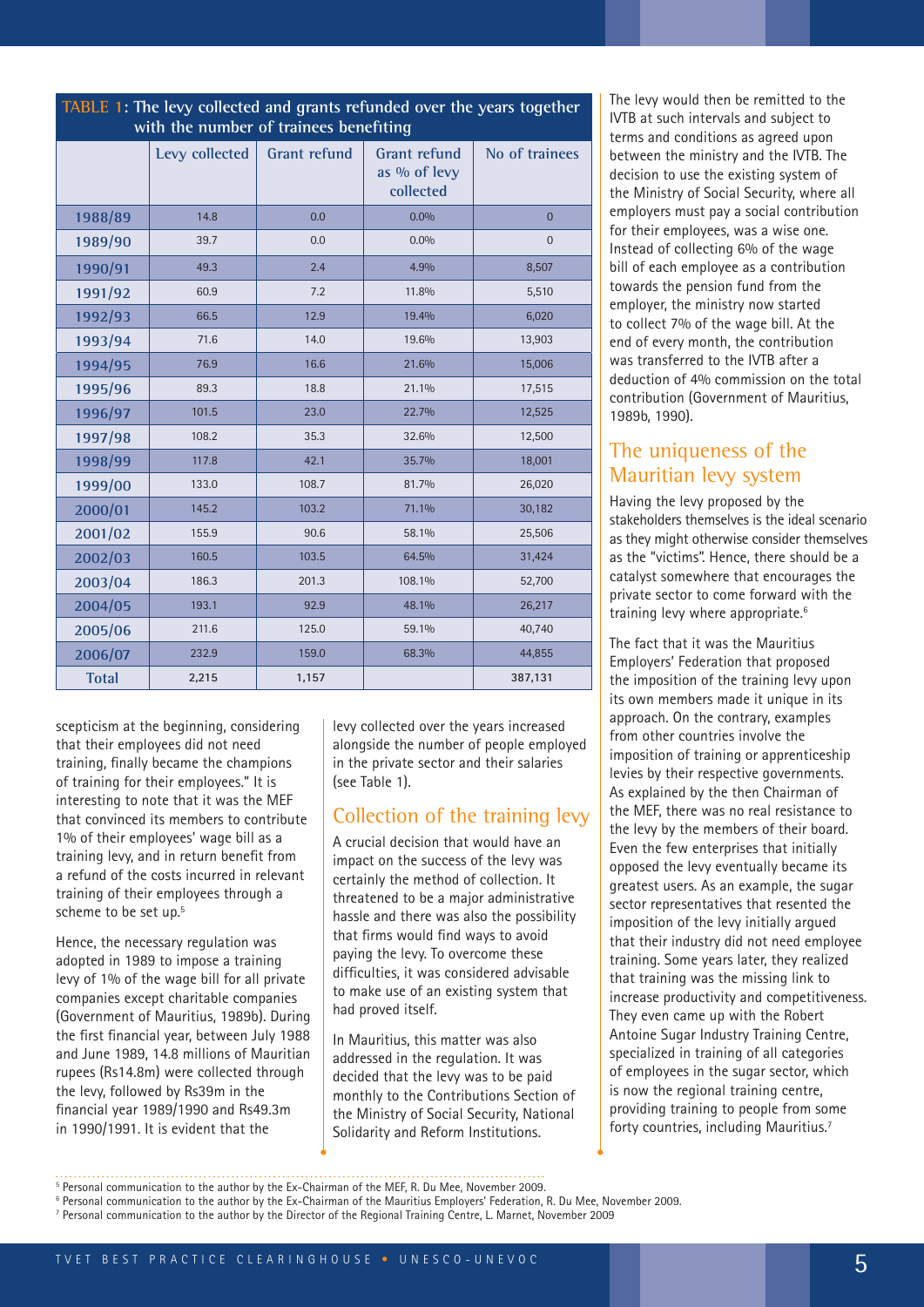| with the number of trainees benefiting |                |                     |                                                  |                |  |
|----------------------------------------|----------------|---------------------|--------------------------------------------------|----------------|--|
|                                        | Levy collected | <b>Grant refund</b> | <b>Grant refund</b><br>as % of levy<br>collected | No of trainees |  |
| 1988/89                                | 14.8           | 0.0                 | 0.0%                                             | $\overline{0}$ |  |
| 1989/90                                | 39.7           | 0.0                 | $0.0\%$                                          | $\overline{0}$ |  |
| 1990/91                                | 49.3           | 2.4                 | 4.9%                                             | 8,507          |  |
| 1991/92                                | 60.9           | 7.2                 | 11.8%                                            | 5,510          |  |
| 1992/93                                | 66.5           | 12.9                | 19.4%                                            | 6,020          |  |
| 1993/94                                | 71.6           | 14.0                | 19.6%                                            | 13,903         |  |
| 1994/95                                | 76.9           | 16.6                | 21.6%                                            | 15,006         |  |
| 1995/96                                | 89.3           | 18.8                | 21.1%                                            | 17,515         |  |
| 1996/97                                | 101.5          | 23.0                | 22.7%                                            | 12,525         |  |
| 1997/98                                | 108.2          | 35.3                | 32.6%                                            | 12,500         |  |
| 1998/99                                | 117.8          | 42.1                | 35.7%                                            | 18,001         |  |
| 1999/00                                | 133.0          | 108.7               | 81.7%                                            | 26,020         |  |
| 2000/01                                | 145.2          | 103.2               | 71.1%                                            | 30,182         |  |
| 2001/02                                | 155.9          | 90.6                | 58.1%                                            | 25,506         |  |
| 2002/03                                | 160.5          | 103.5               | 64.5%                                            | 31,424         |  |
| 2003/04                                | 186.3          | 201.3               | 108.1%                                           | 52,700         |  |
| 2004/05                                | 193.1          | 92.9                | 48.1%                                            | 26,217         |  |
| 2005/06                                | 211.6          | 125.0               | 59.1%                                            | 40,740         |  |
| 2006/07                                | 232.9          | 159.0               | 68.3%                                            | 44,855         |  |
| <b>Total</b>                           | 2,215          | 1,157               |                                                  | 387,131        |  |

**TABLE 1: The levy collected and grants refunded over the years together** 

scepticism at the beginning, considering that their employees did not need training, finally became the champions of training for their employees." It is interesting to note that it was the MEF that convinced its members to contribute 1% of their employees' wage bill as a training levy, and in return benefit from a refund of the costs incurred in relevant training of their employees through a scheme to be set up.<sup>5</sup>

Hence, the necessary regulation was adopted in 1989 to impose a training levy of 1% of the wage bill for all private companies except charitable companies (Government of Mauritius, 1989b). During the first financial year, between July 1988 and June 1989, 14.8 millions of Mauritian rupees (Rs14.8m) were collected through the levy, followed by Rs39m in the financial year 1989/1990 and Rs49.3m in 1990/1991. It is evident that the

levy collected over the years increased alongside the number of people employed in the private sector and their salaries (see Table 1).

#### Collection of the training levy

A crucial decision that would have an impact on the success of the levy was certainly the method of collection. It threatened to be a major administrative hassle and there was also the possibility that firms would find ways to avoid paying the levy. To overcome these difficulties, it was considered advisable to make use of an existing system that had proved itself.

In Mauritius, this matter was also addressed in the regulation. It was decided that the levy was to be paid monthly to the Contributions Section of the Ministry of Social Security, National Solidarity and Reform Institutions.

The levy would then be remitted to the IVTB at such intervals and subject to terms and conditions as agreed upon between the ministry and the IVTB. The decision to use the existing system of the Ministry of Social Security, where all employers must pay a social contribution for their employees, was a wise one. Instead of collecting 6% of the wage bill of each employee as a contribution towards the pension fund from the employer, the ministry now started to collect 7% of the wage bill. At the end of every month, the contribution was transferred to the IVTB after a deduction of 4% commission on the total contribution (Government of Mauritius, 1989b, 1990).

#### The uniqueness of the Mauritian levy system

Having the levy proposed by the stakeholders themselves is the ideal scenario as they might otherwise consider themselves as the "victims". Hence, there should be a catalyst somewhere that encourages the private sector to come forward with the training levy where appropriate.<sup>6</sup>

The fact that it was the Mauritius Employers' Federation that proposed the imposition of the training levy upon its own members made it unique in its approach. On the contrary, examples from other countries involve the imposition of training or apprenticeship levies by their respective governments. As explained by the then Chairman of the MEF, there was no real resistance to the levy by the members of their board. Even the few enterprises that initially opposed the levy eventually became its greatest users. As an example, the sugar sector representatives that resented the imposition of the levy initially argued that their industry did not need employee training. Some years later, they realized that training was the missing link to increase productivity and competitiveness. They even came up with the Robert Antoine Sugar Industry Training Centre, specialized in training of all categories of employees in the sugar sector, which is now the regional training centre, providing training to people from some forty countries, including Mauritius.7

<sup>&</sup>lt;sup>5</sup> Personal communication to the author by the Ex-Chairman of the MEF, R. Du Mee, November 2009. 6 Personal communication to the author by the Ex-Chairman of the Mauritius Employers' Federation, R. Du Mee, November 2009.

<sup>7</sup> Personal communication to the author by the Director of the Regional Training Centre, L. Marnet, November 2009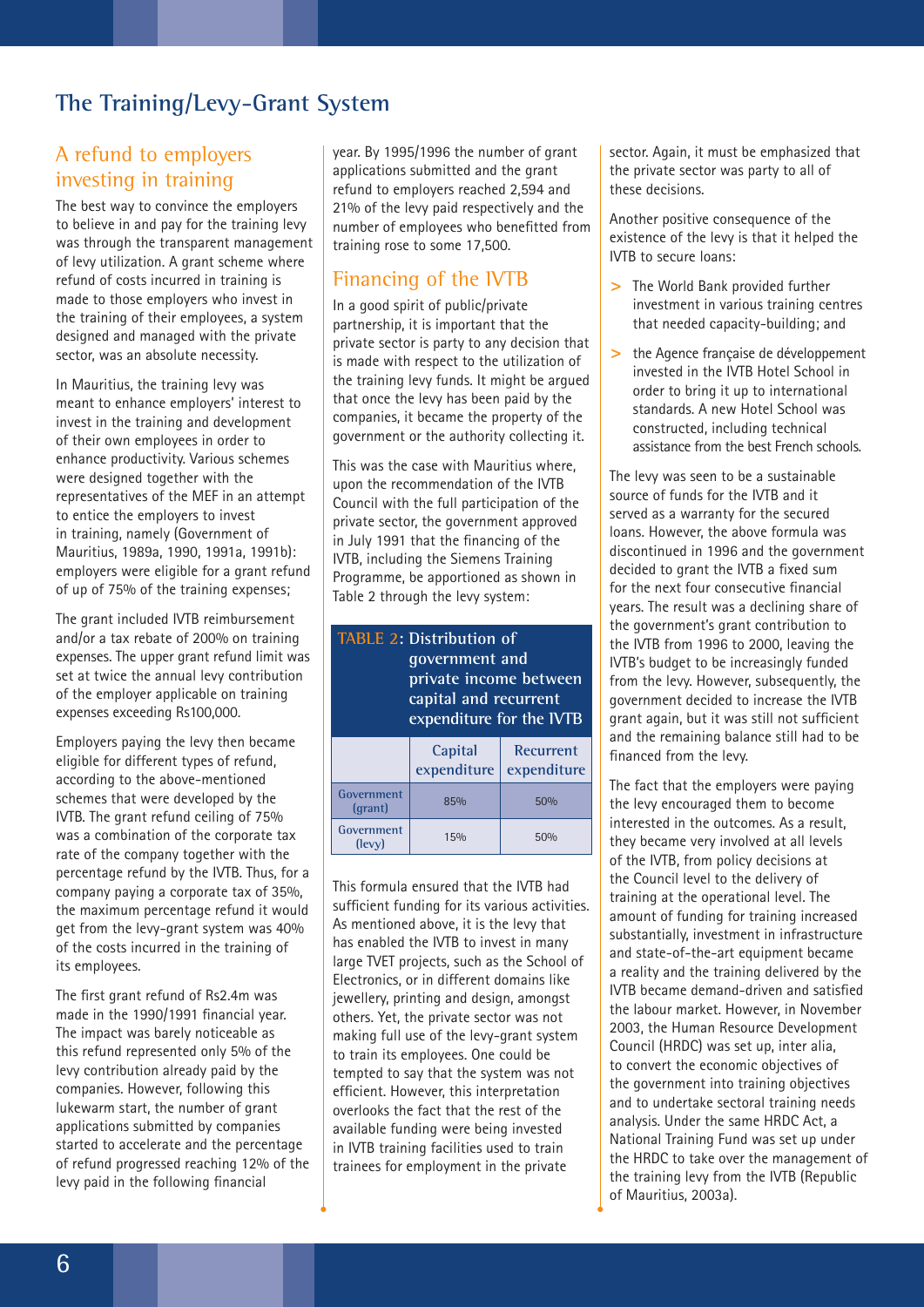## **The Training/Levy-Grant System**

#### A refund to employers investing in training

The best way to convince the employers to believe in and pay for the training levy was through the transparent management of levy utilization. A grant scheme where refund of costs incurred in training is made to those employers who invest in the training of their employees, a system designed and managed with the private sector, was an absolute necessity.

In Mauritius, the training levy was meant to enhance employers' interest to invest in the training and development of their own employees in order to enhance productivity. Various schemes were designed together with the representatives of the MEF in an attempt to entice the employers to invest in training, namely (Government of Mauritius, 1989a, 1990, 1991a, 1991b): employers were eligible for a grant refund of up of 75% of the training expenses;

The grant included IVTB reimbursement and/or a tax rebate of 200% on training expenses. The upper grant refund limit was set at twice the annual levy contribution of the employer applicable on training expenses exceeding Rs100,000.

Employers paying the levy then became eligible for different types of refund, according to the above-mentioned schemes that were developed by the IVTB. The grant refund ceiling of 75% was a combination of the corporate tax rate of the company together with the percentage refund by the IVTB. Thus, for a company paying a corporate tax of 35%, the maximum percentage refund it would get from the levy-grant system was 40% of the costs incurred in the training of its employees.

The first grant refund of Rs2.4m was made in the 1990/1991 financial year. The impact was barely noticeable as this refund represented only 5% of the levy contribution already paid by the companies. However, following this lukewarm start, the number of grant applications submitted by companies started to accelerate and the percentage of refund progressed reaching 12% of the levy paid in the following financial

year. By 1995/1996 the number of grant applications submitted and the grant refund to employers reached 2,594 and 21% of the levy paid respectively and the number of employees who benefitted from training rose to some 17,500.

#### Financing of the IVTB

In a good spirit of public/private partnership, it is important that the private sector is party to any decision that is made with respect to the utilization of the training levy funds. It might be argued that once the levy has been paid by the companies, it became the property of the government or the authority collecting it.

This was the case with Mauritius where, upon the recommendation of the IVTB Council with the full participation of the private sector, the government approved in July 1991 that the financing of the IVTB, including the Siemens Training Programme, be apportioned as shown in Table 2 through the levy system:

#### **TABLE 2: Distribution of government and private income between capital and recurrent expenditure for the IVTB**

|                       | Capital<br>expenditure | Recurrent<br>expenditure |
|-----------------------|------------------------|--------------------------|
| Government<br>(grant) | 85%                    | 50%                      |
| Government<br>(levy)  | 15%                    | 50%                      |

This formula ensured that the IVTB had sufficient funding for its various activities. As mentioned above, it is the levy that has enabled the IVTB to invest in many large TVET projects, such as the School of Electronics, or in different domains like jewellery, printing and design, amongst others. Yet, the private sector was not making full use of the levy-grant system to train its employees. One could be tempted to say that the system was not efficient. However, this interpretation overlooks the fact that the rest of the available funding were being invested in IVTB training facilities used to train trainees for employment in the private

sector. Again, it must be emphasized that the private sector was party to all of these decisions.

Another positive consequence of the existence of the levy is that it helped the IVTB to secure loans:

- **>** The World Bank provided further investment in various training centres that needed capacity-building; and
- **>** the Agence française de développement invested in the IVTB Hotel School in order to bring it up to international standards. A new Hotel School was constructed, including technical assistance from the best French schools.

The levy was seen to be a sustainable source of funds for the IVTB and it served as a warranty for the secured loans. However, the above formula was discontinued in 1996 and the government decided to grant the IVTB a fixed sum for the next four consecutive financial years. The result was a declining share of the government's grant contribution to the IVTB from 1996 to 2000, leaving the IVTB's budget to be increasingly funded from the levy. However, subsequently, the government decided to increase the IVTB grant again, but it was still not sufficient and the remaining balance still had to be financed from the levy.

The fact that the employers were paying the levy encouraged them to become interested in the outcomes. As a result, they became very involved at all levels of the IVTB, from policy decisions at the Council level to the delivery of training at the operational level. The amount of funding for training increased substantially, investment in infrastructure and state-of-the-art equipment became a reality and the training delivered by the IVTB became demand-driven and satisfied the labour market. However, in November 2003, the Human Resource Development Council (HRDC) was set up, inter alia, to convert the economic objectives of the government into training objectives and to undertake sectoral training needs analysis. Under the same HRDC Act, a National Training Fund was set up under the HRDC to take over the management of the training levy from the IVTB (Republic of Mauritius, 2003a).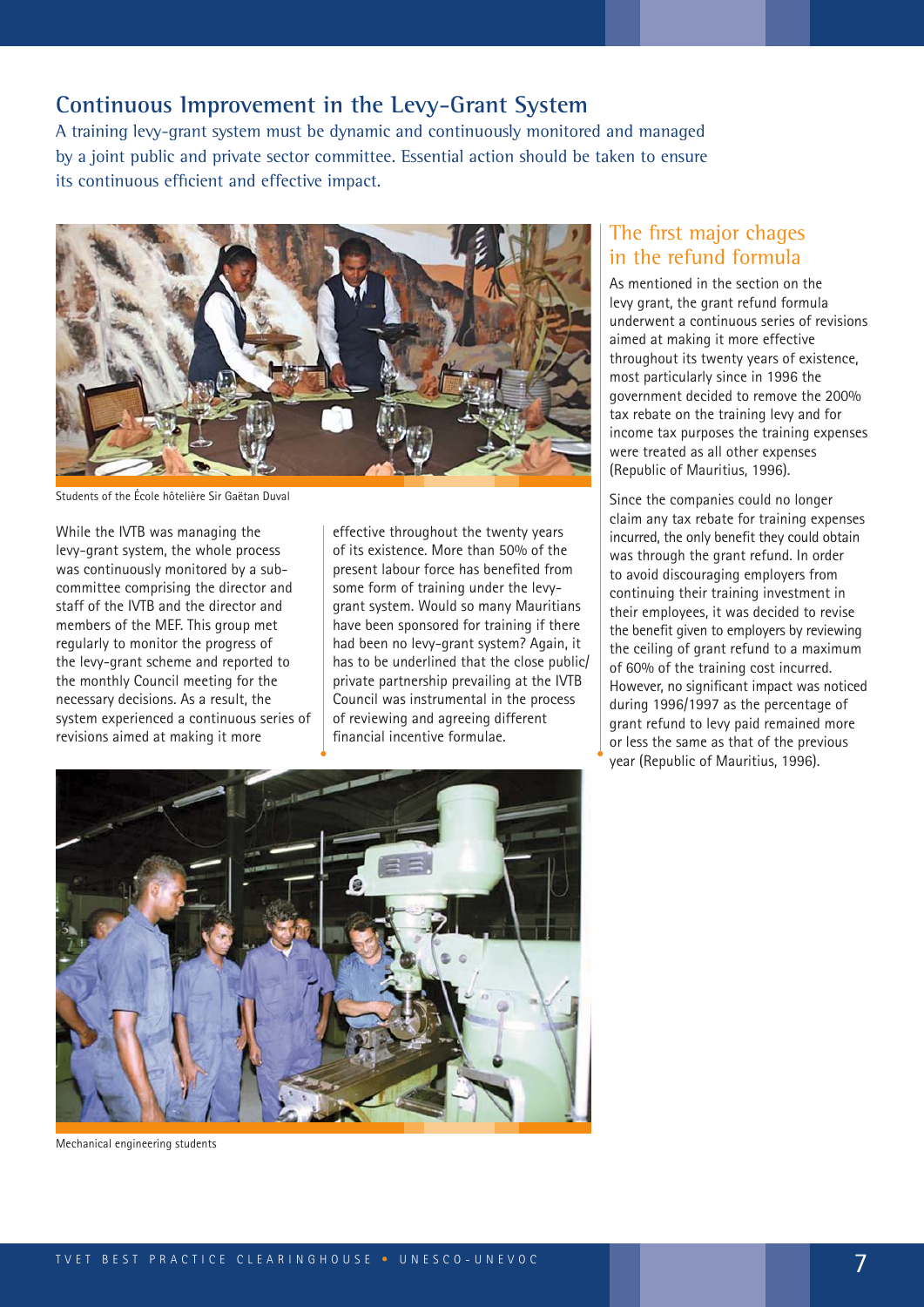#### **Continuous Improvement in the Levy-Grant System**

A training levy-grant system must be dynamic and continuously monitored and managed by a joint public and private sector committee. Essential action should be taken to ensure its continuous efficient and effective impact.



Students of the École hôtelière Sir Gaëtan Duval

While the IVTB was managing the levy-grant system, the whole process was continuously monitored by a subcommittee comprising the director and staff of the IVTB and the director and members of the MEF. This group met regularly to monitor the progress of the levy-grant scheme and reported to the monthly Council meeting for the necessary decisions. As a result, the system experienced a continuous series of revisions aimed at making it more

effective throughout the twenty years of its existence. More than 50% of the present labour force has benefited from some form of training under the levygrant system. Would so many Mauritians have been sponsored for training if there had been no levy-grant system? Again, it has to be underlined that the close public/ private partnership prevailing at the IVTB Council was instrumental in the process of reviewing and agreeing different financial incentive formulae.

#### The first major chages in the refund formula

As mentioned in the section on the levy grant, the grant refund formula underwent a continuous series of revisions aimed at making it more effective throughout its twenty years of existence, most particularly since in 1996 the government decided to remove the 200% tax rebate on the training levy and for income tax purposes the training expenses were treated as all other expenses (Republic of Mauritius, 1996).

Since the companies could no longer claim any tax rebate for training expenses incurred, the only benefit they could obtain was through the grant refund. In order to avoid discouraging employers from continuing their training investment in their employees, it was decided to revise the benefit given to employers by reviewing the ceiling of grant refund to a maximum of 60% of the training cost incurred. However, no significant impact was noticed during 1996/1997 as the percentage of grant refund to levy paid remained more or less the same as that of the previous year (Republic of Mauritius, 1996).



Mechanical engineering students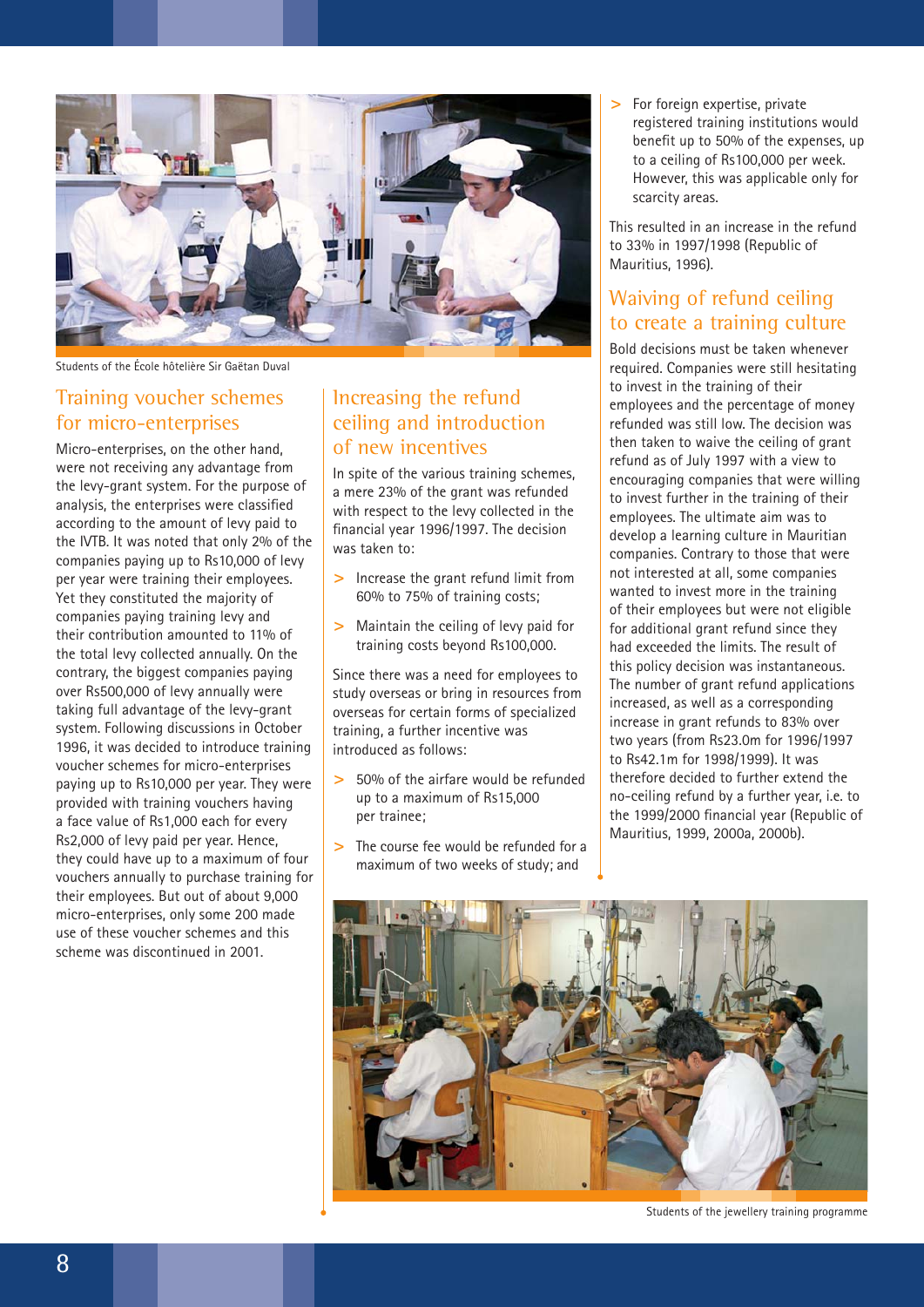

Students of the École hôtelière Sir Gaëtan Duval

#### Training voucher schemes for micro-enterprises

Micro-enterprises, on the other hand, were not receiving any advantage from the levy-grant system. For the purpose of analysis, the enterprises were classified according to the amount of levy paid to the IVTB. It was noted that only 2% of the companies paying up to Rs10,000 of levy per year were training their employees. Yet they constituted the majority of companies paying training levy and their contribution amounted to 11% of the total levy collected annually. On the contrary, the biggest companies paying over Rs500,000 of levy annually were taking full advantage of the levy-grant system. Following discussions in October 1996, it was decided to introduce training voucher schemes for micro-enterprises paying up to Rs10,000 per year. They were provided with training vouchers having a face value of Rs1,000 each for every Rs2,000 of levy paid per year. Hence, they could have up to a maximum of four vouchers annually to purchase training for their employees. But out of about 9,000 micro-enterprises, only some 200 made use of these voucher schemes and this scheme was discontinued in 2001.

### Increasing the refund ceiling and introduction of new incentives

In spite of the various training schemes, a mere 23% of the grant was refunded with respect to the levy collected in the financial year 1996/1997. The decision was taken to:

- **>** Increase the grant refund limit from 60% to 75% of training costs;
- **>** Maintain the ceiling of levy paid for training costs beyond Rs100,000.

Since there was a need for employees to study overseas or bring in resources from overseas for certain forms of specialized training, a further incentive was introduced as follows:

- **>** 50% of the airfare would be refunded up to a maximum of Rs15,000 per trainee;
- **>** The course fee would be refunded for a maximum of two weeks of study; and

**>** For foreign expertise, private registered training institutions would benefit up to 50% of the expenses, up to a ceiling of Rs100,000 per week. However, this was applicable only for scarcity areas.

This resulted in an increase in the refund to 33% in 1997/1998 (Republic of Mauritius, 1996).

### Waiving of refund ceiling to create a training culture

Bold decisions must be taken whenever required. Companies were still hesitating to invest in the training of their employees and the percentage of money refunded was still low. The decision was then taken to waive the ceiling of grant refund as of July 1997 with a view to encouraging companies that were willing to invest further in the training of their employees. The ultimate aim was to develop a learning culture in Mauritian companies. Contrary to those that were not interested at all, some companies wanted to invest more in the training of their employees but were not eligible for additional grant refund since they had exceeded the limits. The result of this policy decision was instantaneous. The number of grant refund applications increased, as well as a corresponding increase in grant refunds to 83% over two years (from Rs23.0m for 1996/1997 to Rs42.1m for 1998/1999). It was therefore decided to further extend the no-ceiling refund by a further year, i.e. to the 1999/2000 financial year (Republic of Mauritius, 1999, 2000a, 2000b).



Students of the jewellery training programme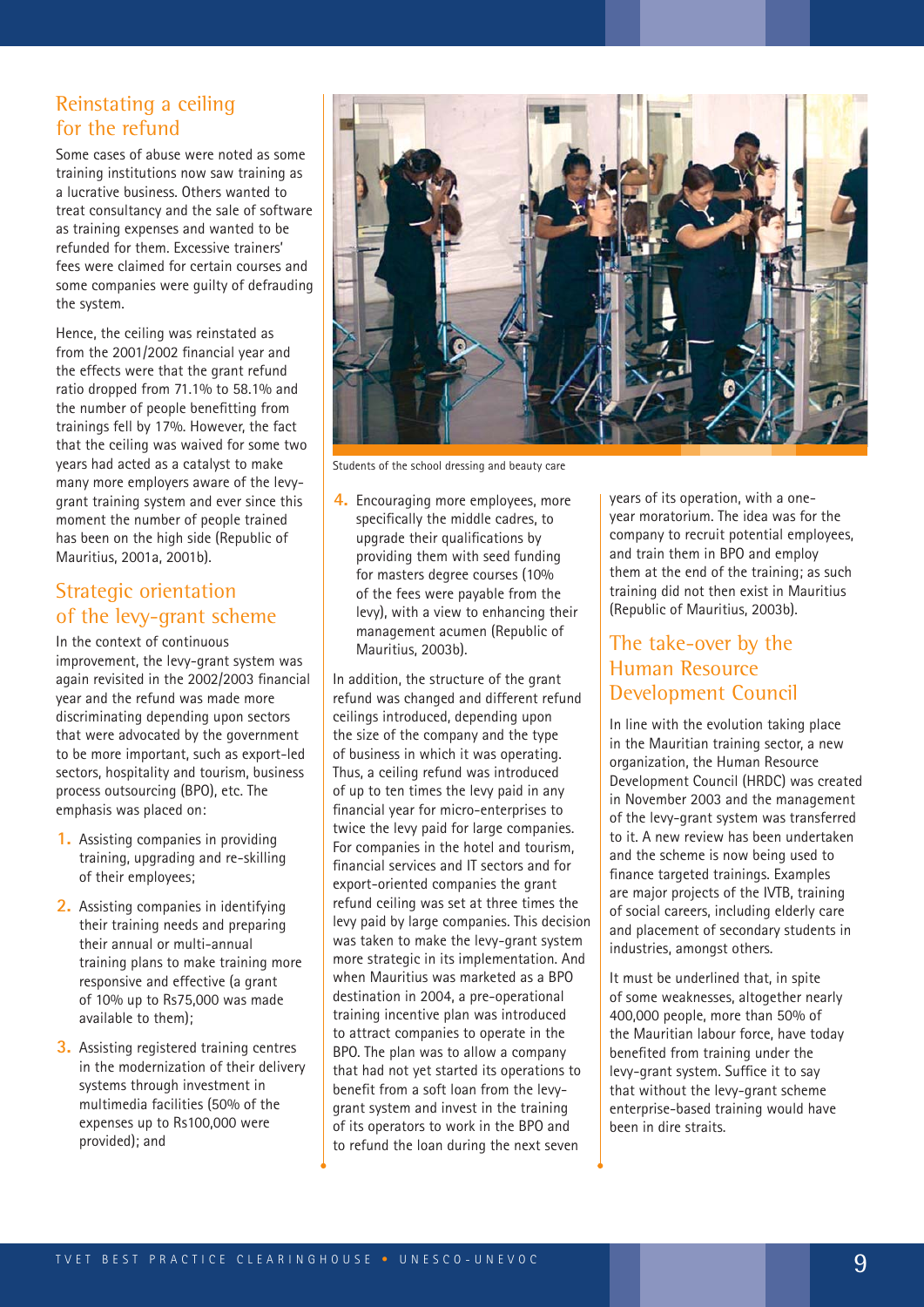#### Reinstating a ceiling for the refund

Some cases of abuse were noted as some training institutions now saw training as a lucrative business. Others wanted to treat consultancy and the sale of software as training expenses and wanted to be refunded for them. Excessive trainers' fees were claimed for certain courses and some companies were guilty of defrauding the system.

Hence, the ceiling was reinstated as from the 2001/2002 financial year and the effects were that the grant refund ratio dropped from 71.1% to 58.1% and the number of people benefitting from trainings fell by 17%. However, the fact that the ceiling was waived for some two years had acted as a catalyst to make many more employers aware of the levygrant training system and ever since this moment the number of people trained has been on the high side (Republic of Mauritius, 2001a, 2001b).

#### Strategic orientation of the levy-grant scheme

In the context of continuous improvement, the levy-grant system was again revisited in the 2002/2003 financial year and the refund was made more discriminating depending upon sectors that were advocated by the government to be more important, such as export-led sectors, hospitality and tourism, business process outsourcing (BPO), etc. The emphasis was placed on:

- **1.** Assisting companies in providing training, upgrading and re-skilling of their employees;
- **2.** Assisting companies in identifying their training needs and preparing their annual or multi-annual training plans to make training more responsive and effective (a grant of 10% up to Rs75,000 was made available to them);
- **3.** Assisting registered training centres in the modernization of their delivery systems through investment in multimedia facilities (50% of the expenses up to Rs100,000 were provided); and



Students of the school dressing and beauty care

**4.** Encouraging more employees, more specifically the middle cadres, to upgrade their qualifications by providing them with seed funding for masters degree courses (10% of the fees were payable from the levy), with a view to enhancing their management acumen (Republic of Mauritius, 2003b).

In addition, the structure of the grant refund was changed and different refund ceilings introduced, depending upon the size of the company and the type of business in which it was operating. Thus, a ceiling refund was introduced of up to ten times the levy paid in any financial year for micro-enterprises to twice the levy paid for large companies. For companies in the hotel and tourism, financial services and IT sectors and for export-oriented companies the grant refund ceiling was set at three times the levy paid by large companies. This decision was taken to make the levy-grant system more strategic in its implementation. And when Mauritius was marketed as a BPO destination in 2004, a pre-operational training incentive plan was introduced to attract companies to operate in the BPO. The plan was to allow a company that had not yet started its operations to benefit from a soft loan from the levygrant system and invest in the training of its operators to work in the BPO and to refund the loan during the next seven

years of its operation, with a oneyear moratorium. The idea was for the company to recruit potential employees, and train them in BPO and employ them at the end of the training; as such training did not then exist in Mauritius (Republic of Mauritius, 2003b).

#### The take-over by the Human Resource Development Council

In line with the evolution taking place in the Mauritian training sector, a new organization, the Human Resource Development Council (HRDC) was created in November 2003 and the management of the levy-grant system was transferred to it. A new review has been undertaken and the scheme is now being used to finance targeted trainings. Examples are major projects of the IVTB, training of social careers, including elderly care and placement of secondary students in industries, amongst others.

It must be underlined that, in spite of some weaknesses, altogether nearly 400,000 people, more than 50% of the Mauritian labour force, have today benefited from training under the levy-grant system. Suffice it to say that without the levy-grant scheme enterprise-based training would have been in dire straits.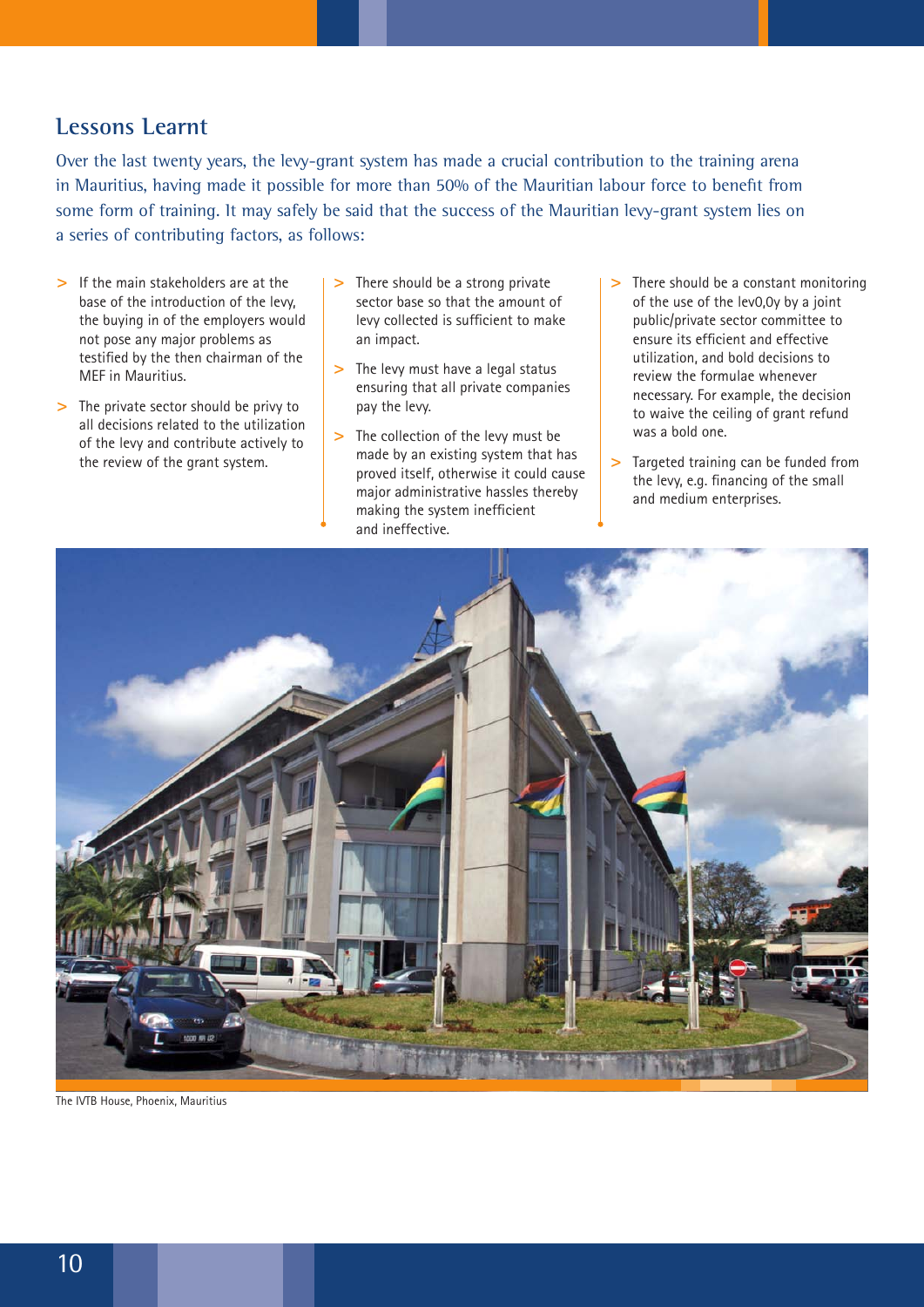#### **Lessons Learnt**

Over the last twenty years, the levy-grant system has made a crucial contribution to the training arena in Mauritius, having made it possible for more than 50% of the Mauritian labour force to benefit from some form of training. It may safely be said that the success of the Mauritian levy-grant system lies on a series of contributing factors, as follows:

- **>** If the main stakeholders are at the base of the introduction of the levy, the buying in of the employers would not pose any major problems as testified by the then chairman of the MEF in Mauritius.
- **>** The private sector should be privy to all decisions related to the utilization of the levy and contribute actively to the review of the grant system.
- **>** There should be a strong private sector base so that the amount of levy collected is sufficient to make an impact.
- **>** The levy must have a legal status ensuring that all private companies pay the levy.
- **>** The collection of the levy must be made by an existing system that has proved itself, otherwise it could cause major administrative hassles thereby making the system inefficient and ineffective.
- **>** There should be a constant monitoring of the use of the lev0,0y by a joint public/private sector committee to ensure its efficient and effective utilization, and bold decisions to review the formulae whenever necessary. For example, the decision to waive the ceiling of grant refund was a bold one.
- **>** Targeted training can be funded from the levy, e.g. financing of the small and medium enterprises.



The IVTB House, Phoenix, Mauritius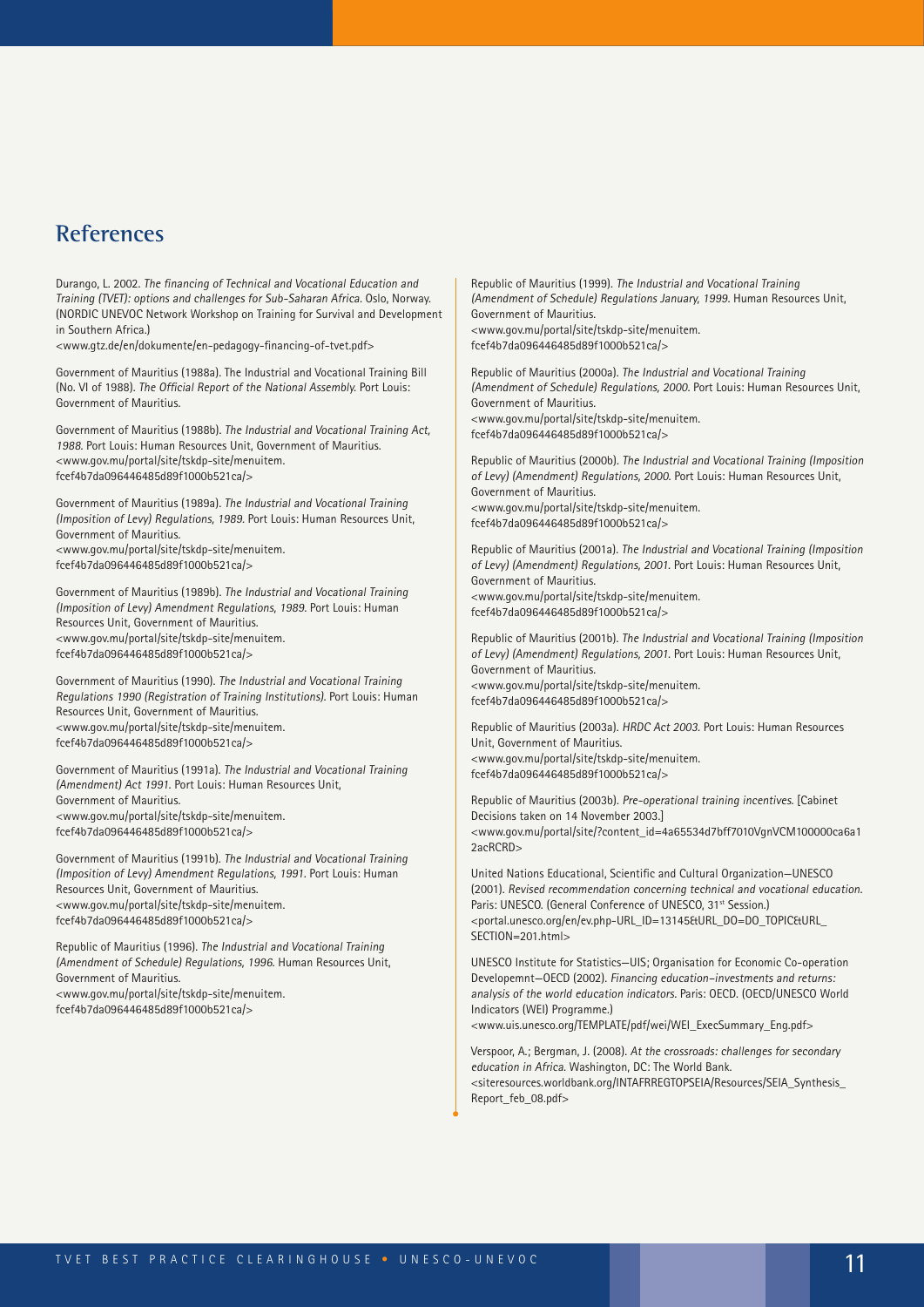### **References**

Durango, L. 2002. The financing of Technical and Vocational Education and Training (TVET): options and challenges for Sub-Saharan Africa. Oslo, Norway. (NORDIC UNEVOC Network Workshop on Training for Survival and Development in Southern Africa.)

<www.gtz.de/en/dokumente/en-pedagogy-financing-of-tvet.pdf>

Government of Mauritius (1988a). The Industrial and Vocational Training Bill (No. VI of 1988). The Official Report of the National Assembly. Port Louis: Government of Mauritius.

Government of Mauritius (1988b). The Industrial and Vocational Training Act, <sup>1988</sup>. Port Louis: Human Resources Unit, Government of Mauritius. <www.gov.mu/portal/site/tskdp-site/menuitem. fcef4b7da096446485d89f1000b521ca/>

Government of Mauritius (1989a). The Industrial and Vocational Training (Imposition of Levy) Regulations, 1989. Port Louis: Human Resources Unit, Government of Mauritius. <www.gov.mu/portal/site/tskdp-site/menuitem. fcef4b7da096446485d89f1000b521ca/>

Government of Mauritius (1989b). The Industrial and Vocational Training (Imposition of Levy) Amendment Regulations, 1989. Port Louis: Human Resources Unit, Government of Mauritius. <www.gov.mu/portal/site/tskdp-site/menuitem. fcef4b7da096446485d89f1000b521ca/>

Government of Mauritius (1990). The Industrial and Vocational Training Regulations 1990 (Registration of Training Institutions). Port Louis: Human Resources Unit, Government of Mauritius. <www.gov.mu/portal/site/tskdp-site/menuitem. fcef4b7da096446485d89f1000b521ca/>

Government of Mauritius (1991a). The Industrial and Vocational Training (Amendment) Act 1991. Port Louis: Human Resources Unit, Government of Mauritius. <www.gov.mu/portal/site/tskdp-site/menuitem. fcef4b7da096446485d89f1000b521ca/>

Government of Mauritius (1991b). The Industrial and Vocational Training (Imposition of Levy) Amendment Regulations, 1991. Port Louis: Human Resources Unit, Government of Mauritius. <www.gov.mu/portal/site/tskdp-site/menuitem. fcef4b7da096446485d89f1000b521ca/>

Republic of Mauritius (1996). The Industrial and Vocational Training (Amendment of Schedule) Regulations, 1996. Human Resources Unit, Government of Mauritius. <www.gov.mu/portal/site/tskdp-site/menuitem.

fcef4b7da096446485d89f1000b521ca/>

Republic of Mauritius (1999). The Industrial and Vocational Training (Amendment of Schedule) Regulations January, 1999. Human Resources Unit, Government of Mauritius. <www.gov.mu/portal/site/tskdp-site/menuitem. fcef4b7da096446485d89f1000b521ca/>

Republic of Mauritius (2000a). The Industrial and Vocational Training (Amendment of Schedule) Regulations, 2000. Port Louis: Human Resources Unit, Government of Mauritius. <www.gov.mu/portal/site/tskdp-site/menuitem. fcef4b7da096446485d89f1000b521ca/>

Republic of Mauritius (2000b). The Industrial and Vocational Training (Imposition of Levy) (Amendment) Regulations, 2000. Port Louis: Human Resources Unit, Government of Mauritius. <www.gov.mu/portal/site/tskdp-site/menuitem. fcef4b7da096446485d89f1000b521ca/>

Republic of Mauritius (2001a). The Industrial and Vocational Training (Imposition of Levy) (Amendment) Regulations, 2001. Port Louis: Human Resources Unit, Government of Mauritius. <www.gov.mu/portal/site/tskdp-site/menuitem. fcef4b7da096446485d89f1000b521ca/>

Republic of Mauritius (2001b). The Industrial and Vocational Training (Imposition of Levy) (Amendment) Regulations, 2001. Port Louis: Human Resources Unit, Government of Mauritius. <www.gov.mu/portal/site/tskdp-site/menuitem. fcef4b7da096446485d89f1000b521ca/>

Republic of Mauritius (2003a). HRDC Act 2003. Port Louis: Human Resources Unit, Government of Mauritius. <www.gov.mu/portal/site/tskdp-site/menuitem. fcef4b7da096446485d89f1000b521ca/>

Republic of Mauritius (2003b). Pre-operational training incentives. [Cabinet Decisions taken on 14 November 2003.] <www.gov.mu/portal/site/?content\_id=4a65534d7bff7010VgnVCM100000ca6a1 2acRCRD>

United Nations Educational, Scientific and Cultural Organization—UNESCO (2001). Revised recommendation concerning technical and vocational education. Paris: UNESCO. (General Conference of UNESCO, 31<sup>st</sup> Session.) <portal.unesco.org/en/ev.php-URL\_ID=13145&URL\_DO=DO\_TOPIC&URL\_ SECTION=201.html>

UNESCO Institute for Statistics—UIS; Organisation for Economic Co-operation Developemnt—OECD (2002). Financing education–investments and returns: analysis of the world education indicators. Paris: OECD. (OECD/UNESCO World Indicators (WEI) Programme.) <www.uis.unesco.org/TEMPLATE/pdf/wei/WEI\_ExecSummary\_Eng.pdf>

Verspoor, A.; Bergman, J. (2008). At the crossroads: challenges for secondary education in Africa. Washington, DC: The World Bank.

<siteresources.worldbank.org/INTAFRREGTOPSEIA/Resources/SEIA\_Synthesis\_ Report\_feb\_08.pdf>